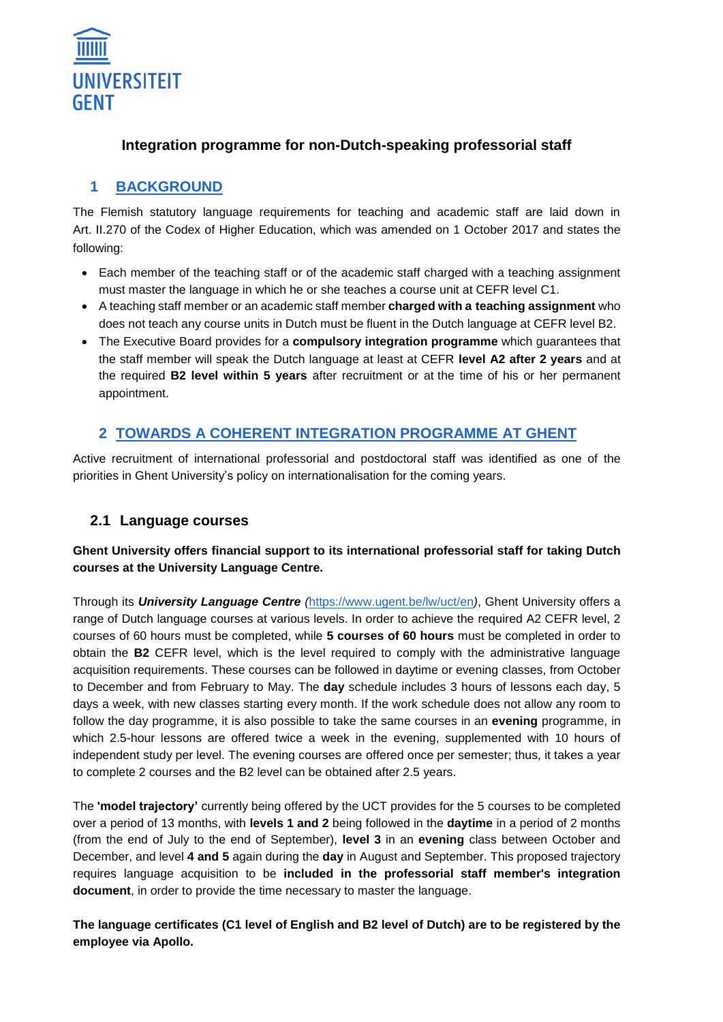

#### **Integration programme for non-Dutch-speaking professorial staff**

### **1 BACKGROUND**

The Flemish statutory language requirements for teaching and academic staff are laid down in Art. II.270 of the Codex of Higher Education, which was amended on 1 October 2017 and states the following:

- Each member of the teaching staff or of the academic staff charged with a teaching assignment must master the language in which he or she teaches a course unit at CEFR level C1.
- A teaching staff member or an academic staff member **charged with a teaching assignment** who does not teach any course units in Dutch must be fluent in the Dutch language at CEFR level B2.
- The Executive Board provides for a **compulsory integration programme** which guarantees that the staff member will speak the Dutch language at least at CEFR **level A2 after 2 years** and at the required **B2 level within 5 years** after recruitment or at the time of his or her permanent appointment.

### **2 TOWARDS A COHERENT INTEGRATION PROGRAMME AT GHENT**

Active recruitment of international professorial and postdoctoral staff was identified as one of the priorities in Ghent University's policy on internationalisation for the coming years.

#### **2.1 Language courses**

#### **Ghent University offers financial support to its international professorial staff for taking Dutch courses at the University Language Centre.**

Through its *University Language Centre (*<https://www.ugent.be/lw/uct/en>*)*, Ghent University offers a range of Dutch language courses at various levels. In order to achieve the required A2 CEFR level, 2 courses of 60 hours must be completed, while **5 courses of 60 hours** must be completed in order to obtain the **B2** CEFR level, which is the level required to comply with the administrative language acquisition requirements. These courses can be followed in daytime or evening classes, from October to December and from February to May. The **day** schedule includes 3 hours of lessons each day, 5 days a week, with new classes starting every month. If the work schedule does not allow any room to follow the day programme, it is also possible to take the same courses in an **evening** programme, in which 2.5-hour lessons are offered twice a week in the evening, supplemented with 10 hours of independent study per level. The evening courses are offered once per semester; thus, it takes a year to complete 2 courses and the B2 level can be obtained after 2.5 years.

The **'model trajectory'** currently being offered by the UCT provides for the 5 courses to be completed over a period of 13 months, with **levels 1 and 2** being followed in the **daytime** in a period of 2 months (from the end of July to the end of September), **level 3** in an **evening** class between October and December, and level **4 and 5** again during the **day** in August and September. This proposed trajectory requires language acquisition to be **included in the professorial staff member's integration document**, in order to provide the time necessary to master the language.

**The language certificates (C1 level of English and B2 level of Dutch) are to be registered by the employee via Apollo.**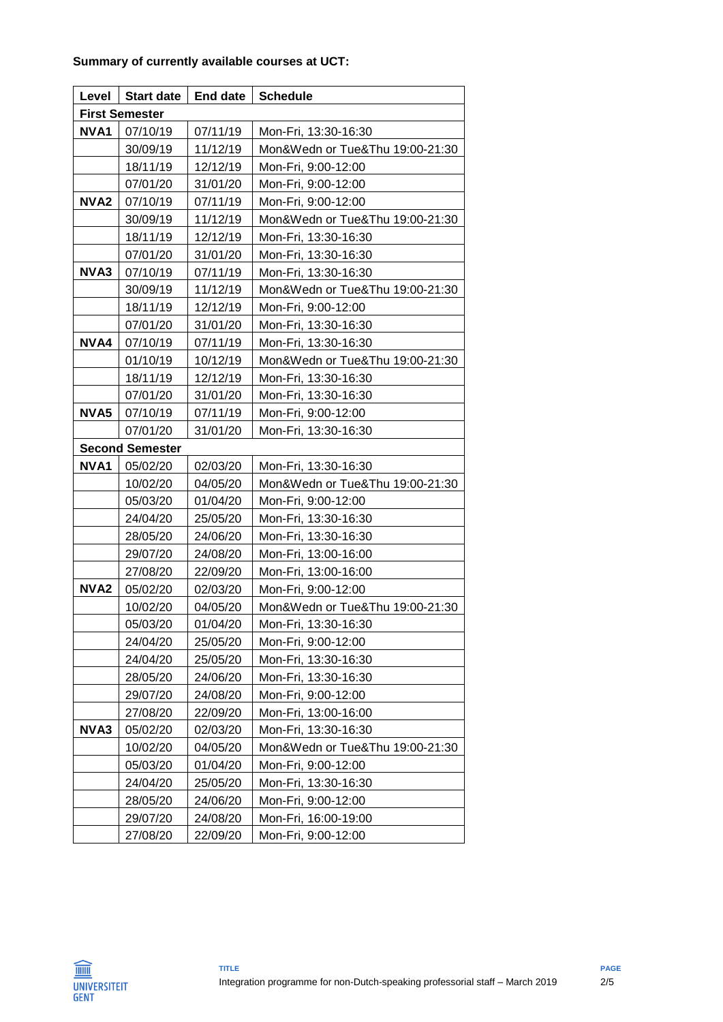| Level                  | <b>Start date</b> | End date | <b>Schedule</b>                 |  |
|------------------------|-------------------|----------|---------------------------------|--|
| <b>First Semester</b>  |                   |          |                                 |  |
| NVA1                   | 07/10/19          | 07/11/19 | Mon-Fri, 13:30-16:30            |  |
|                        | 30/09/19          | 11/12/19 | Mon&Wedn or Tue&Thu 19:00-21:30 |  |
|                        | 18/11/19          | 12/12/19 | Mon-Fri, 9:00-12:00             |  |
|                        | 07/01/20          | 31/01/20 | Mon-Fri, 9:00-12:00             |  |
| NVA2                   | 07/10/19          | 07/11/19 | Mon-Fri, 9:00-12:00             |  |
|                        | 30/09/19          | 11/12/19 | Mon&Wedn or Tue&Thu 19:00-21:30 |  |
|                        | 18/11/19          | 12/12/19 | Mon-Fri, 13:30-16:30            |  |
|                        | 07/01/20          | 31/01/20 | Mon-Fri, 13:30-16:30            |  |
| NVA3                   | 07/10/19          | 07/11/19 | Mon-Fri, 13:30-16:30            |  |
|                        | 30/09/19          | 11/12/19 | Mon&Wedn or Tue&Thu 19:00-21:30 |  |
|                        | 18/11/19          | 12/12/19 | Mon-Fri, 9:00-12:00             |  |
|                        | 07/01/20          | 31/01/20 | Mon-Fri, 13:30-16:30            |  |
| NVA4                   | 07/10/19          | 07/11/19 | Mon-Fri, 13:30-16:30            |  |
|                        | 01/10/19          | 10/12/19 | Mon&Wedn or Tue&Thu 19:00-21:30 |  |
|                        | 18/11/19          | 12/12/19 | Mon-Fri, 13:30-16:30            |  |
|                        | 07/01/20          | 31/01/20 | Mon-Fri, 13:30-16:30            |  |
| NVA5                   | 07/10/19          | 07/11/19 | Mon-Fri, 9:00-12:00             |  |
|                        | 07/01/20          | 31/01/20 | Mon-Fri, 13:30-16:30            |  |
| <b>Second Semester</b> |                   |          |                                 |  |
| NVA1                   | 05/02/20          | 02/03/20 | Mon-Fri, 13:30-16:30            |  |
|                        | 10/02/20          | 04/05/20 | Mon&Wedn or Tue&Thu 19:00-21:30 |  |
|                        | 05/03/20          | 01/04/20 | Mon-Fri, 9:00-12:00             |  |
|                        | 24/04/20          | 25/05/20 | Mon-Fri, 13:30-16:30            |  |
|                        | 28/05/20          | 24/06/20 | Mon-Fri, 13:30-16:30            |  |
|                        | 29/07/20          | 24/08/20 | Mon-Fri, 13:00-16:00            |  |
|                        | 27/08/20          | 22/09/20 | Mon-Fri, 13:00-16:00            |  |
| NVA <sub>2</sub>       | 05/02/20          | 02/03/20 | Mon-Fri, 9:00-12:00             |  |
|                        | 10/02/20          | 04/05/20 | Mon&Wedn or Tue&Thu 19:00-21:30 |  |
|                        | 05/03/20          | 01/04/20 | Mon-Fri, 13:30-16:30            |  |
|                        | 24/04/20          | 25/05/20 | Mon-Fri, 9:00-12:00             |  |
|                        | 24/04/20          | 25/05/20 | Mon-Fri, 13:30-16:30            |  |
|                        | 28/05/20          | 24/06/20 | Mon-Fri, 13:30-16:30            |  |
|                        | 29/07/20          | 24/08/20 | Mon-Fri, 9:00-12:00             |  |
|                        | 27/08/20          | 22/09/20 | Mon-Fri, 13:00-16:00            |  |
| NVA3                   | 05/02/20          | 02/03/20 | Mon-Fri, 13:30-16:30            |  |
|                        | 10/02/20          | 04/05/20 | Mon&Wedn or Tue&Thu 19:00-21:30 |  |
|                        | 05/03/20          | 01/04/20 | Mon-Fri, 9:00-12:00             |  |
|                        | 24/04/20          | 25/05/20 | Mon-Fri, 13:30-16:30            |  |
|                        | 28/05/20          | 24/06/20 | Mon-Fri, 9:00-12:00             |  |
|                        | 29/07/20          | 24/08/20 | Mon-Fri, 16:00-19:00            |  |
|                        | 27/08/20          | 22/09/20 | Mon-Fri, 9:00-12:00             |  |

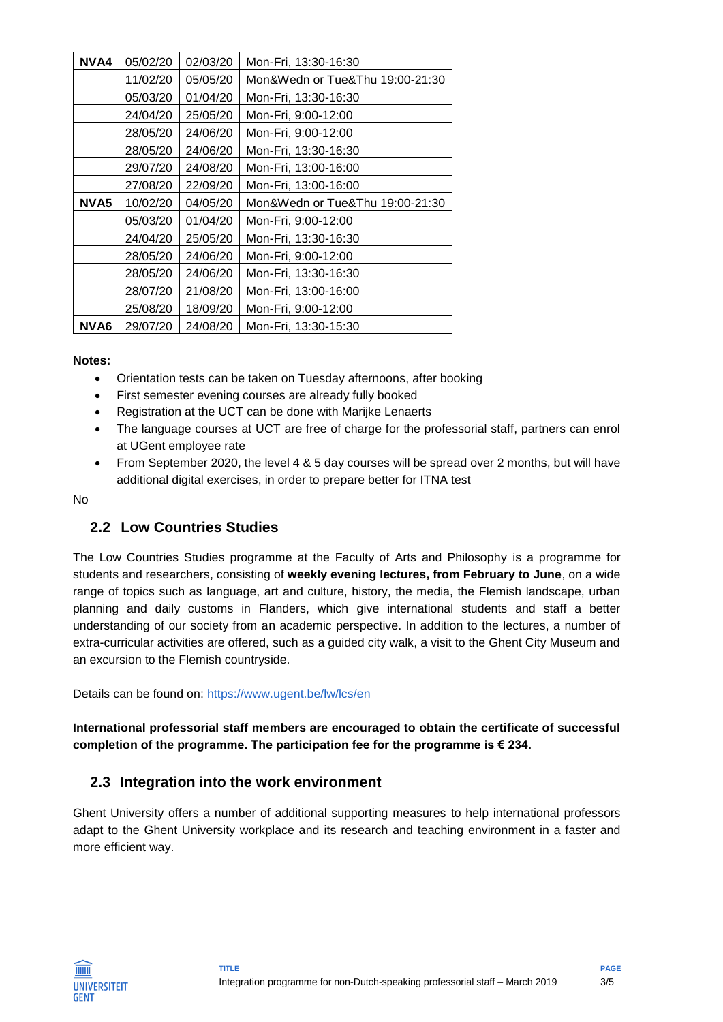| NVA4             | 05/02/20 | 02/03/20 | Mon-Fri, 13:30-16:30            |
|------------------|----------|----------|---------------------------------|
|                  | 11/02/20 | 05/05/20 | Mon&Wedn or Tue&Thu 19:00-21:30 |
|                  | 05/03/20 | 01/04/20 | Mon-Fri, 13:30-16:30            |
|                  | 24/04/20 | 25/05/20 | Mon-Fri, 9:00-12:00             |
|                  | 28/05/20 | 24/06/20 | Mon-Fri, 9:00-12:00             |
|                  | 28/05/20 | 24/06/20 | Mon-Fri, 13:30-16:30            |
|                  | 29/07/20 | 24/08/20 | Mon-Fri, 13:00-16:00            |
|                  | 27/08/20 | 22/09/20 | Mon-Fri, 13:00-16:00            |
| NVA <sub>5</sub> | 10/02/20 | 04/05/20 | Mon&Wedn or Tue&Thu 19:00-21:30 |
|                  | 05/03/20 | 01/04/20 | Mon-Fri, 9:00-12:00             |
|                  | 24/04/20 | 25/05/20 | Mon-Fri, 13:30-16:30            |
|                  | 28/05/20 | 24/06/20 | Mon-Fri, 9:00-12:00             |
|                  | 28/05/20 | 24/06/20 | Mon-Fri, 13:30-16:30            |
|                  | 28/07/20 | 21/08/20 | Mon-Fri, 13:00-16:00            |
|                  | 25/08/20 | 18/09/20 | Mon-Fri, 9:00-12:00             |
| NVA6             | 29/07/20 | 24/08/20 | Mon-Fri, 13:30-15:30            |

**Notes:**

- Orientation tests can be taken on Tuesday afternoons, after booking
- First semester evening courses are already fully booked
- Registration at the UCT can be done with Marijke Lenaerts
- The language courses at UCT are free of charge for the professorial staff, partners can enrol at UGent employee rate
- From September 2020, the level 4 & 5 day courses will be spread over 2 months, but will have additional digital exercises, in order to prepare better for ITNA test

No

#### **2.2 Low Countries Studies**

The Low Countries Studies programme at the Faculty of Arts and Philosophy is a programme for students and researchers, consisting of **weekly evening lectures, from February to June**, on a wide range of topics such as language, art and culture, history, the media, the Flemish landscape, urban planning and daily customs in Flanders, which give international students and staff a better understanding of our society from an academic perspective. In addition to the lectures, a number of extra-curricular activities are offered, such as a guided city walk, a visit to the Ghent City Museum and an excursion to the Flemish countryside.

Details can be found on:<https://www.ugent.be/lw/lcs/en>

**International professorial staff members are encouraged to obtain the certificate of successful completion of the programme. The participation fee for the programme is € 234.**

#### **2.3 Integration into the work environment**

Ghent University offers a number of additional supporting measures to help international professors adapt to the Ghent University workplace and its research and teaching environment in a faster and more efficient way.

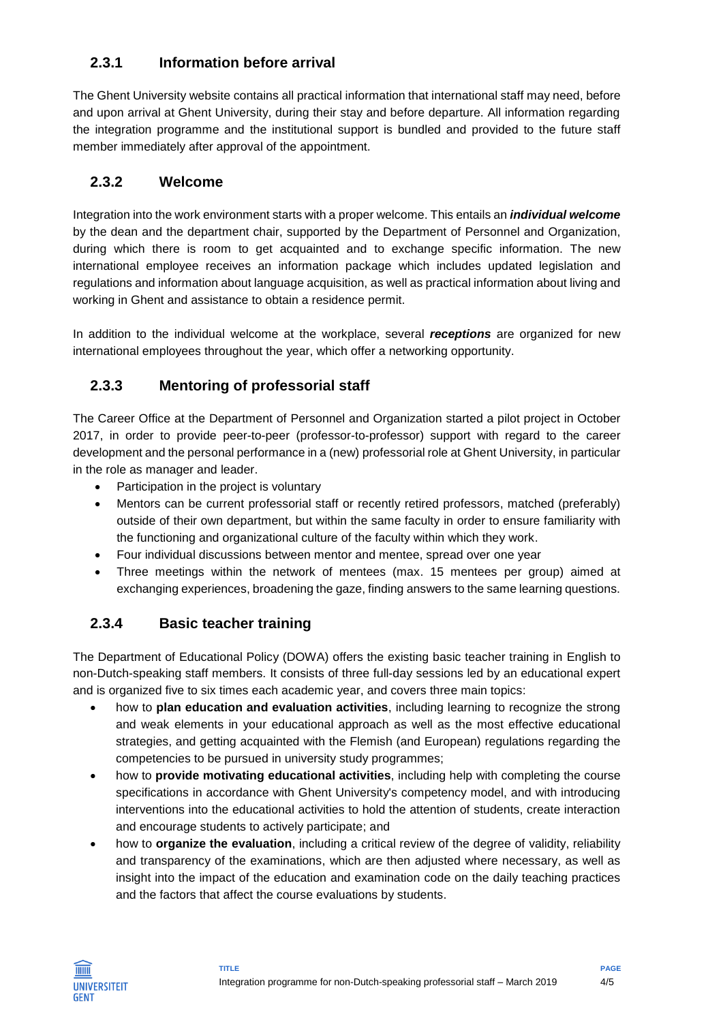## **2.3.1 Information before arrival**

The Ghent University website contains all practical information that international staff may need, before and upon arrival at Ghent University, during their stay and before departure. All information regarding the integration programme and the institutional support is bundled and provided to the future staff member immediately after approval of the appointment.

### **2.3.2 Welcome**

Integration into the work environment starts with a proper welcome. This entails an *individual welcome* by the dean and the department chair, supported by the Department of Personnel and Organization, during which there is room to get acquainted and to exchange specific information. The new international employee receives an information package which includes updated legislation and regulations and information about language acquisition, as well as practical information about living and working in Ghent and assistance to obtain a residence permit.

In addition to the individual welcome at the workplace, several *receptions* are organized for new international employees throughout the year, which offer a networking opportunity.

## **2.3.3 Mentoring of professorial staff**

The Career Office at the Department of Personnel and Organization started a pilot project in October 2017, in order to provide peer-to-peer (professor-to-professor) support with regard to the career development and the personal performance in a (new) professorial role at Ghent University, in particular in the role as manager and leader.

- Participation in the project is voluntary
- Mentors can be current professorial staff or recently retired professors, matched (preferably) outside of their own department, but within the same faculty in order to ensure familiarity with the functioning and organizational culture of the faculty within which they work.
- Four individual discussions between mentor and mentee, spread over one year
- Three meetings within the network of mentees (max. 15 mentees per group) aimed at exchanging experiences, broadening the gaze, finding answers to the same learning questions.

# **2.3.4 Basic teacher training**

The Department of Educational Policy (DOWA) offers the existing basic teacher training in English to non-Dutch-speaking staff members. It consists of three full-day sessions led by an educational expert and is organized five to six times each academic year, and covers three main topics:

- how to **plan education and evaluation activities**, including learning to recognize the strong and weak elements in your educational approach as well as the most effective educational strategies, and getting acquainted with the Flemish (and European) regulations regarding the competencies to be pursued in university study programmes;
- how to **provide motivating educational activities**, including help with completing the course specifications in accordance with Ghent University's competency model, and with introducing interventions into the educational activities to hold the attention of students, create interaction and encourage students to actively participate; and
- how to **organize the evaluation**, including a critical review of the degree of validity, reliability and transparency of the examinations, which are then adjusted where necessary, as well as insight into the impact of the education and examination code on the daily teaching practices and the factors that affect the course evaluations by students.